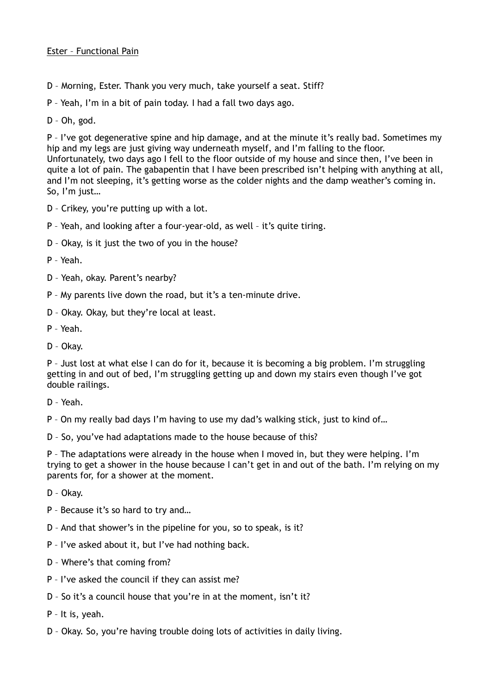## Ester – Functional Pain

D – Morning, Ester. Thank you very much, take yourself a seat. Stiff?

P – Yeah, I'm in a bit of pain today. I had a fall two days ago.

D – Oh, god.

P - I've got degenerative spine and hip damage, and at the minute it's really bad. Sometimes my hip and my legs are just giving way underneath myself, and I'm falling to the floor. Unfortunately, two days ago I fell to the floor outside of my house and since then, I've been in quite a lot of pain. The gabapentin that I have been prescribed isn't helping with anything at all, and I'm not sleeping, it's getting worse as the colder nights and the damp weather's coming in. So, I'm just…

- D Crikey, you're putting up with a lot.
- P Yeah, and looking after a four-year-old, as well it's quite tiring.
- D Okay, is it just the two of you in the house?
- P Yeah.
- D Yeah, okay. Parent's nearby?
- P My parents live down the road, but it's a ten-minute drive.
- D Okay. Okay, but they're local at least.
- P Yeah.
- D Okay.

P – Just lost at what else I can do for it, because it is becoming a big problem. I'm struggling getting in and out of bed, I'm struggling getting up and down my stairs even though I've got double railings.

D – Yeah.

P – On my really bad days I'm having to use my dad's walking stick, just to kind of…

D – So, you've had adaptations made to the house because of this?

P – The adaptations were already in the house when I moved in, but they were helping. I'm trying to get a shower in the house because I can't get in and out of the bath. I'm relying on my parents for, for a shower at the moment.

- D Okay.
- P Because it's so hard to try and…
- D And that shower's in the pipeline for you, so to speak, is it?
- P I've asked about it, but I've had nothing back.
- D Where's that coming from?
- P I've asked the council if they can assist me?
- D So it's a council house that you're in at the moment, isn't it?
- P It is, yeah.
- D Okay. So, you're having trouble doing lots of activities in daily living.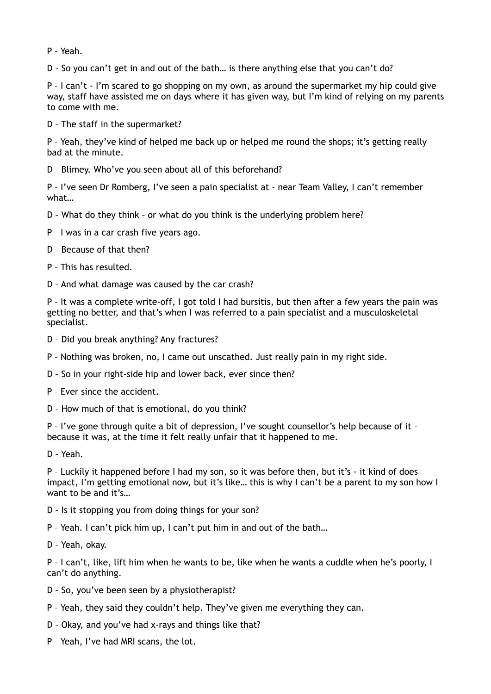P – Yeah.

D – So you can't get in and out of the bath… is there anything else that you can't do?

P – I can't - I'm scared to go shopping on my own, as around the supermarket my hip could give way, staff have assisted me on days where it has given way, but I'm kind of relying on my parents to come with me.

D – The staff in the supermarket?

P – Yeah, they've kind of helped me back up or helped me round the shops; it's getting really bad at the minute.

D – Blimey. Who've you seen about all of this beforehand?

P – I've seen Dr Romberg, I've seen a pain specialist at - near Team Valley, I can't remember what…

- D What do they think or what do you think is the underlying problem here?
- P I was in a car crash five years ago.
- D Because of that then?
- P This has resulted.
- D And what damage was caused by the car crash?

P – It was a complete write-off, I got told I had bursitis, but then after a few years the pain was getting no better, and that's when I was referred to a pain specialist and a musculoskeletal specialist.

- D Did you break anything? Any fractures?
- P Nothing was broken, no, I came out unscathed. Just really pain in my right side.
- D So in your right-side hip and lower back, ever since then?
- P Ever since the accident.
- D How much of that is emotional, do you think?

P - I've gone through quite a bit of depression, I've sought counsellor's help because of it because it was, at the time it felt really unfair that it happened to me.

D – Yeah.

P – Luckily it happened before I had my son, so it was before then, but it's - it kind of does impact, I'm getting emotional now, but it's like… this is why I can't be a parent to my son how I want to be and it's...

- D Is it stopping you from doing things for your son?
- P Yeah. I can't pick him up, I can't put him in and out of the bath…
- D Yeah, okay.

P – I can't, like, lift him when he wants to be, like when he wants a cuddle when he's poorly, I can't do anything.

- D So, you've been seen by a physiotherapist?
- P Yeah, they said they couldn't help. They've given me everything they can.
- D Okay, and you've had x-rays and things like that?
- P Yeah, I've had MRI scans, the lot.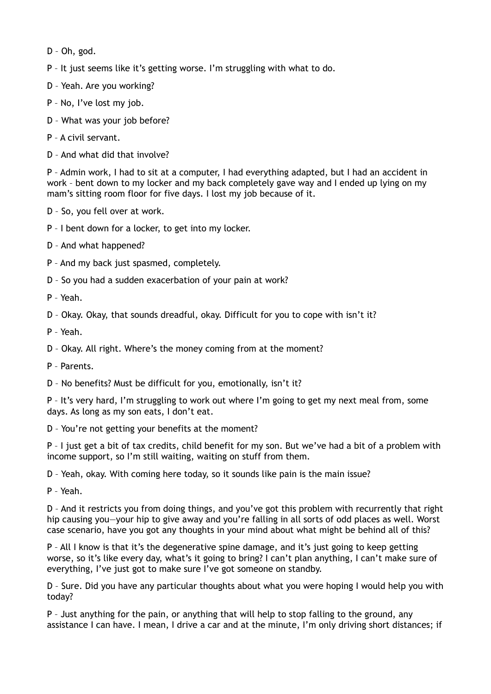- D Oh, god.
- P It just seems like it's getting worse. I'm struggling with what to do.
- D Yeah. Are you working?
- P No, I've lost my job.
- D What was your job before?
- P A civil servant.
- D And what did that involve?

P – Admin work, I had to sit at a computer, I had everything adapted, but I had an accident in work – bent down to my locker and my back completely gave way and I ended up lying on my mam's sitting room floor for five days. I lost my job because of it.

- D So, you fell over at work.
- P I bent down for a locker, to get into my locker.
- D And what happened?
- P And my back just spasmed, completely.
- D So you had a sudden exacerbation of your pain at work?
- P Yeah.

D – Okay. Okay, that sounds dreadful, okay. Difficult for you to cope with isn't it?

P – Yeah.

D – Okay. All right. Where's the money coming from at the moment?

P – Parents.

D – No benefits? Must be difficult for you, emotionally, isn't it?

P - It's very hard, I'm struggling to work out where I'm going to get my next meal from, some days. As long as my son eats, I don't eat.

D – You're not getting your benefits at the moment?

P – I just get a bit of tax credits, child benefit for my son. But we've had a bit of a problem with income support, so I'm still waiting, waiting on stuff from them.

- D Yeah, okay. With coming here today, so it sounds like pain is the main issue?
- P Yeah.

D – And it restricts you from doing things, and you've got this problem with recurrently that right hip causing you-your hip to give away and you're falling in all sorts of odd places as well. Worst case scenario, have you got any thoughts in your mind about what might be behind all of this?

P – All I know is that it's the degenerative spine damage, and it's just going to keep getting worse, so it's like every day, what's it going to bring? I can't plan anything, I can't make sure of everything, I've just got to make sure I've got someone on standby.

D – Sure. Did you have any particular thoughts about what you were hoping I would help you with today?

P – Just anything for the pain, or anything that will help to stop falling to the ground, any assistance I can have. I mean, I drive a car and at the minute, I'm only driving short distances; if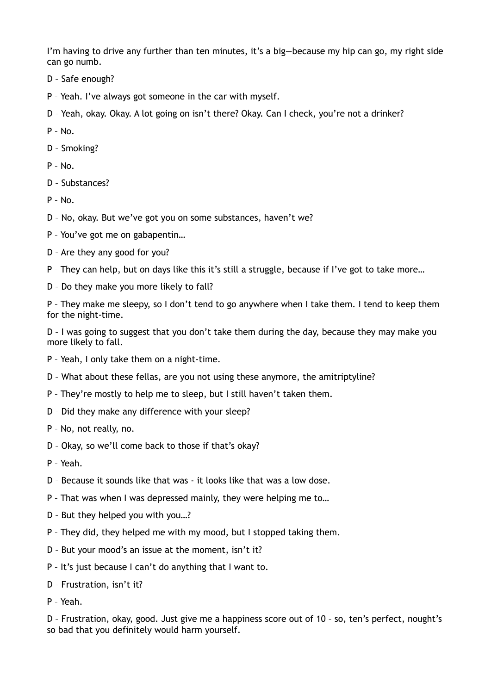I'm having to drive any further than ten minutes, it's a big—because my hip can go, my right side can go numb.

- D Safe enough?
- P Yeah. I've always got someone in the car with myself.
- D Yeah, okay. Okay. A lot going on isn't there? Okay. Can I check, you're not a drinker?

P – No.

- D Smoking?
- $P No.$
- D Substances?
- $P N_0$
- D No, okay. But we've got you on some substances, haven't we?
- P You've got me on gabapentin…
- D Are they any good for you?
- P They can help, but on days like this it's still a struggle, because if I've got to take more…
- D Do they make you more likely to fall?

P – They make me sleepy, so I don't tend to go anywhere when I take them. I tend to keep them for the night-time.

D – I was going to suggest that you don't take them during the day, because they may make you more likely to fall.

- P Yeah, I only take them on a night-time.
- D What about these fellas, are you not using these anymore, the amitriptyline?
- P They're mostly to help me to sleep, but I still haven't taken them.
- D Did they make any difference with your sleep?
- P No, not really, no.
- D Okay, so we'll come back to those if that's okay?
- P Yeah.
- D Because it sounds like that was it looks like that was a low dose.
- P That was when I was depressed mainly, they were helping me to…
- D But they helped you with you…?
- P They did, they helped me with my mood, but I stopped taking them.
- D But your mood's an issue at the moment, isn't it?
- P It's just because I can't do anything that I want to.
- D Frustration, isn't it?
- P Yeah.

D – Frustration, okay, good. Just give me a happiness score out of 10 – so, ten's perfect, nought's so bad that you definitely would harm yourself.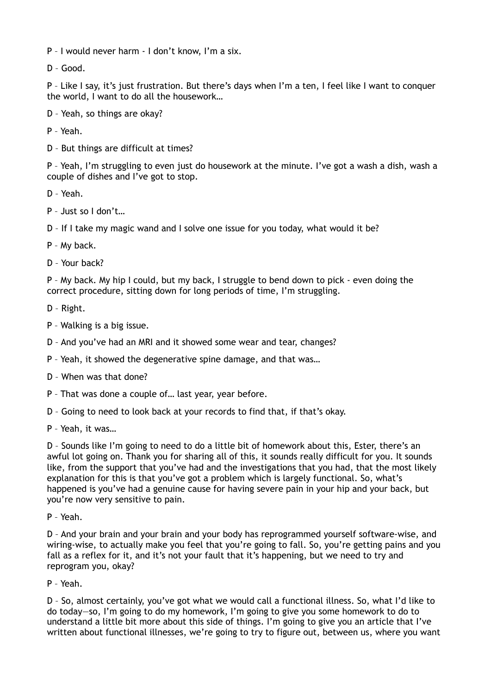P – I would never harm - I don't know, I'm a six.

D – Good.

P – Like I say, it's just frustration. But there's days when I'm a ten, I feel like I want to conquer the world, I want to do all the housework…

D – Yeah, so things are okay?

P – Yeah.

D – But things are difficult at times?

P – Yeah, I'm struggling to even just do housework at the minute. I've got a wash a dish, wash a couple of dishes and I've got to stop.

- D Yeah.
- P Just so I don't…

D – If I take my magic wand and I solve one issue for you today, what would it be?

- P My back.
- D Your back?

P – My back. My hip I could, but my back, I struggle to bend down to pick - even doing the correct procedure, sitting down for long periods of time, I'm struggling.

- D Right.
- P Walking is a big issue.
- D And you've had an MRI and it showed some wear and tear, changes?
- P Yeah, it showed the degenerative spine damage, and that was…
- D When was that done?
- P That was done a couple of… last year, year before.
- D Going to need to look back at your records to find that, if that's okay.
- P Yeah, it was…

D – Sounds like I'm going to need to do a little bit of homework about this, Ester, there's an awful lot going on. Thank you for sharing all of this, it sounds really difficult for you. It sounds like, from the support that you've had and the investigations that you had, that the most likely explanation for this is that you've got a problem which is largely functional. So, what's happened is you've had a genuine cause for having severe pain in your hip and your back, but you're now very sensitive to pain.

P – Yeah.

D – And your brain and your brain and your body has reprogrammed yourself software-wise, and wiring-wise, to actually make you feel that you're going to fall. So, you're getting pains and you fall as a reflex for it, and it's not your fault that it's happening, but we need to try and reprogram you, okay?

P – Yeah.

D – So, almost certainly, you've got what we would call a functional illness. So, what I'd like to do today—so, I'm going to do my homework, I'm going to give you some homework to do to understand a little bit more about this side of things. I'm going to give you an article that I've written about functional illnesses, we're going to try to figure out, between us, where you want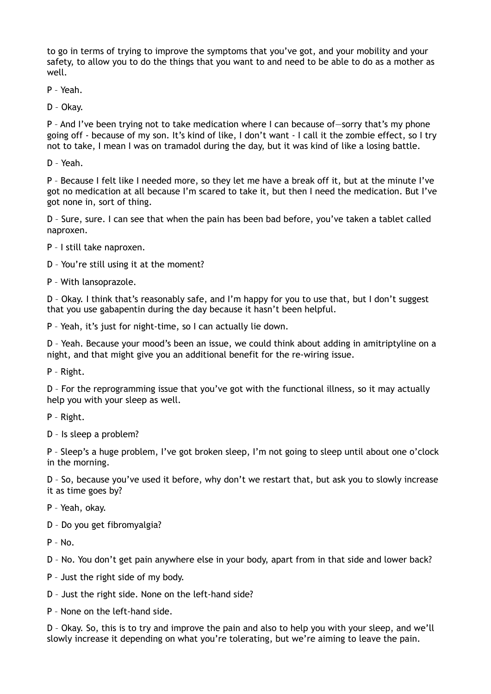to go in terms of trying to improve the symptoms that you've got, and your mobility and your safety, to allow you to do the things that you want to and need to be able to do as a mother as well.

P – Yeah.

D – Okay.

P – And I've been trying not to take medication where I can because of—sorry that's my phone going off - because of my son. It's kind of like, I don't want - I call it the zombie effect, so I try not to take, I mean I was on tramadol during the day, but it was kind of like a losing battle.

D – Yeah.

P – Because I felt like I needed more, so they let me have a break off it, but at the minute I've got no medication at all because I'm scared to take it, but then I need the medication. But I've got none in, sort of thing.

D – Sure, sure. I can see that when the pain has been bad before, you've taken a tablet called naproxen.

- P I still take naproxen.
- D You're still using it at the moment?
- P With lansoprazole.

D – Okay. I think that's reasonably safe, and I'm happy for you to use that, but I don't suggest that you use gabapentin during the day because it hasn't been helpful.

P – Yeah, it's just for night-time, so I can actually lie down.

D – Yeah. Because your mood's been an issue, we could think about adding in amitriptyline on a night, and that might give you an additional benefit for the re-wiring issue.

P – Right.

D – For the reprogramming issue that you've got with the functional illness, so it may actually help you with your sleep as well.

P – Right.

D – Is sleep a problem?

P – Sleep's a huge problem, I've got broken sleep, I'm not going to sleep until about one o'clock in the morning.

D – So, because you've used it before, why don't we restart that, but ask you to slowly increase it as time goes by?

- P Yeah, okay.
- D Do you get fibromyalgia?

 $P - No$ .

D – No. You don't get pain anywhere else in your body, apart from in that side and lower back?

- P Just the right side of my body.
- D Just the right side. None on the left-hand side?
- P None on the left-hand side.

D – Okay. So, this is to try and improve the pain and also to help you with your sleep, and we'll slowly increase it depending on what you're tolerating, but we're aiming to leave the pain.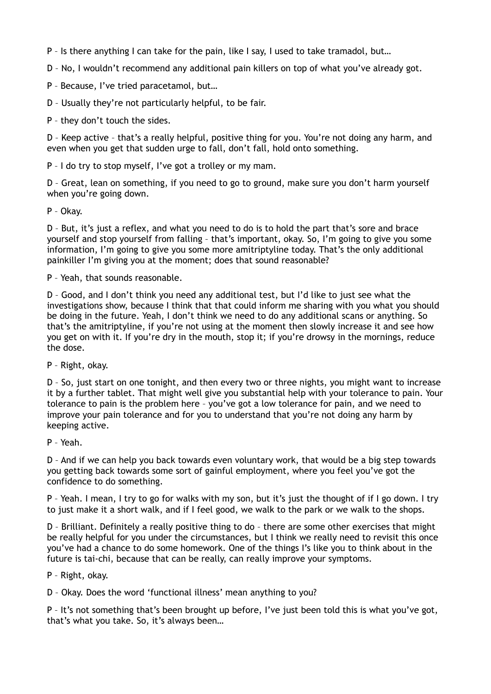P – Is there anything I can take for the pain, like I say, I used to take tramadol, but…

D – No, I wouldn't recommend any additional pain killers on top of what you've already got.

P – Because, I've tried paracetamol, but…

D – Usually they're not particularly helpful, to be fair.

P – they don't touch the sides.

D – Keep active – that's a really helpful, positive thing for you. You're not doing any harm, and even when you get that sudden urge to fall, don't fall, hold onto something.

P – I do try to stop myself, I've got a trolley or my mam.

D – Great, lean on something, if you need to go to ground, make sure you don't harm yourself when you're going down.

P – Okay.

D – But, it's just a reflex, and what you need to do is to hold the part that's sore and brace yourself and stop yourself from falling – that's important, okay. So, I'm going to give you some information, I'm going to give you some more amitriptyline today. That's the only additional painkiller I'm giving you at the moment; does that sound reasonable?

P – Yeah, that sounds reasonable.

D – Good, and I don't think you need any additional test, but I'd like to just see what the investigations show, because I think that that could inform me sharing with you what you should be doing in the future. Yeah, I don't think we need to do any additional scans or anything. So that's the amitriptyline, if you're not using at the moment then slowly increase it and see how you get on with it. If you're dry in the mouth, stop it; if you're drowsy in the mornings, reduce the dose.

P – Right, okay.

D – So, just start on one tonight, and then every two or three nights, you might want to increase it by a further tablet. That might well give you substantial help with your tolerance to pain. Your tolerance to pain is the problem here – you've got a low tolerance for pain, and we need to improve your pain tolerance and for you to understand that you're not doing any harm by keeping active.

P – Yeah.

D – And if we can help you back towards even voluntary work, that would be a big step towards you getting back towards some sort of gainful employment, where you feel you've got the confidence to do something.

P – Yeah. I mean, I try to go for walks with my son, but it's just the thought of if I go down. I try to just make it a short walk, and if I feel good, we walk to the park or we walk to the shops.

D – Brilliant. Definitely a really positive thing to do – there are some other exercises that might be really helpful for you under the circumstances, but I think we really need to revisit this once you've had a chance to do some homework. One of the things I's like you to think about in the future is tai-chi, because that can be really, can really improve your symptoms.

P – Right, okay.

D – Okay. Does the word 'functional illness' mean anything to you?

P – It's not something that's been brought up before, I've just been told this is what you've got, that's what you take. So, it's always been…